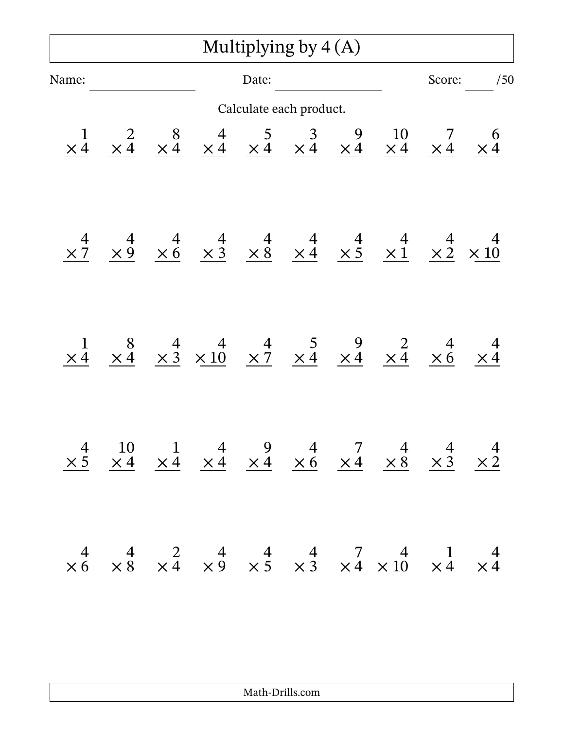| Multiplying by $4(A)$ |  |  |                                                                                                                                                                                                |       |                         |  |  |        |     |  |
|-----------------------|--|--|------------------------------------------------------------------------------------------------------------------------------------------------------------------------------------------------|-------|-------------------------|--|--|--------|-----|--|
| Name:                 |  |  |                                                                                                                                                                                                | Date: |                         |  |  | Score: | /50 |  |
|                       |  |  |                                                                                                                                                                                                |       | Calculate each product. |  |  |        |     |  |
| $\frac{1}{\times 4}$  |  |  |                                                                                                                                                                                                |       |                         |  |  |        |     |  |
|                       |  |  |                                                                                                                                                                                                |       |                         |  |  |        |     |  |
| $\times$ <sup>1</sup> |  |  | $\begin{array}{ccccccccc}\n8 & 4 & 4 & 4 & 5 & 9 & 2 & 4 & 4 \\ \times 4 & \times 3 & \times 10 & \times 7 & \times 4 & \times 4 & \times 4 & \times 6 & \times 4\n\end{array}$                |       |                         |  |  |        |     |  |
|                       |  |  | $\begin{array}{ccccccccc}\n4 & 10 & 1 & 4 & 9 & 4 & 7 & 4 & 4 & 4 \\ \times 5 & \times 4 & \times 4 & \times 4 & \times 4 & \times 6 & \times 4 & \times 8 & \times 3 & \times 2\n\end{array}$ |       |                         |  |  |        |     |  |
|                       |  |  | $\begin{array}{ccccccccc}\n4 & 4 & 2 & 4 & 4 & 7 & 4 & 1 & 4 \\ \times 6 & \times 8 & \times 4 & \times 9 & \times 5 & \times 3 & \times 4 & \times 10 & \times 4 & \times 4\n\end{array}$     |       |                         |  |  |        |     |  |